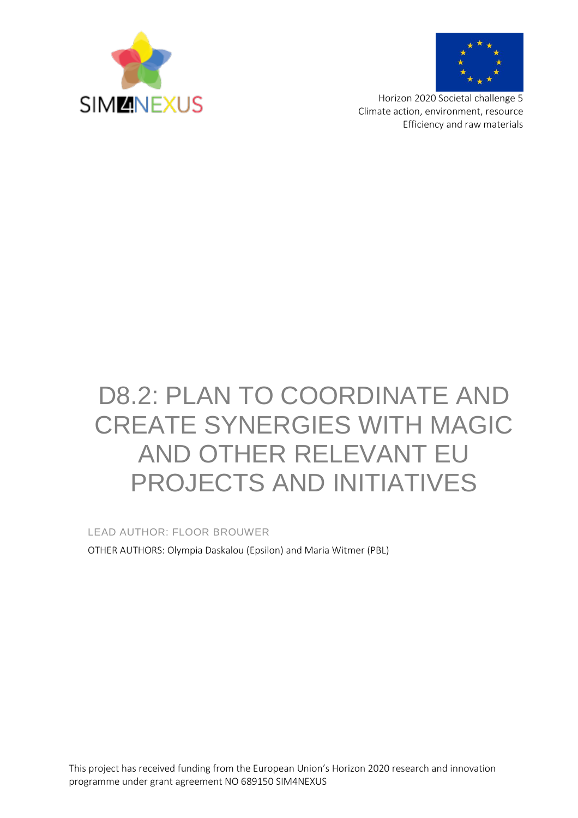



Horizon 2020 Societal challenge 5 Climate action, environment, resource Efficiency and raw materials

# D8.2: PLAN TO COORDINATE AND CREATE SYNERGIES WITH MAGIC AND OTHER RELEVANT EU PROJECTS AND INITIATIVES

LEAD AUTHOR: FLOOR BROUWER

OTHER AUTHORS: Olympia Daskalou (Epsilon) and Maria Witmer (PBL)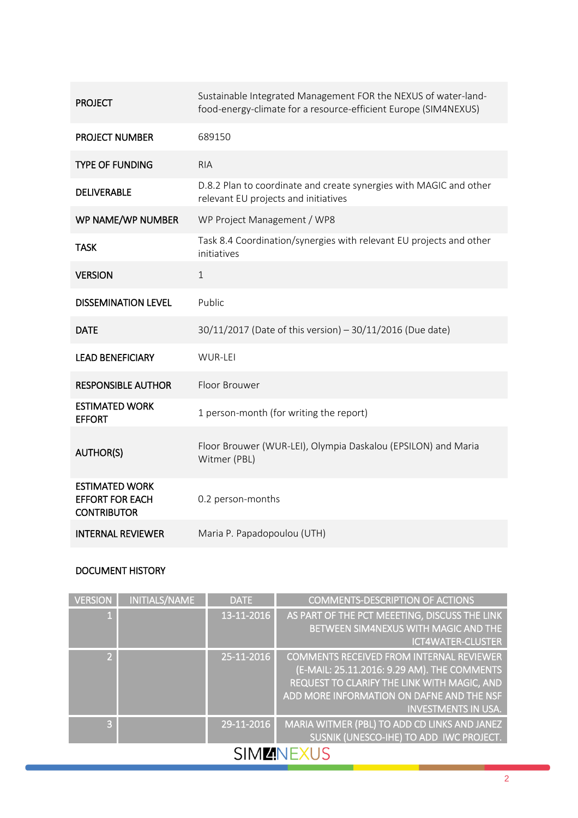| <b>PROJECT</b>                                                        | Sustainable Integrated Management FOR the NEXUS of water-land-<br>food-energy-climate for a resource-efficient Europe (SIM4NEXUS) |
|-----------------------------------------------------------------------|-----------------------------------------------------------------------------------------------------------------------------------|
| <b>PROJECT NUMBER</b>                                                 | 689150                                                                                                                            |
| <b>TYPE OF FUNDING</b>                                                | <b>RIA</b>                                                                                                                        |
| <b>DELIVERABLE</b>                                                    | D.8.2 Plan to coordinate and create synergies with MAGIC and other<br>relevant EU projects and initiatives                        |
| WP NAME/WP NUMBER                                                     | WP Project Management / WP8                                                                                                       |
| <b>TASK</b>                                                           | Task 8.4 Coordination/synergies with relevant EU projects and other<br>initiatives                                                |
| <b>VERSION</b>                                                        | $\mathbf{1}$                                                                                                                      |
| <b>DISSEMINATION LEVEL</b>                                            | Public                                                                                                                            |
| <b>DATE</b>                                                           | 30/11/2017 (Date of this version) - 30/11/2016 (Due date)                                                                         |
| <b>LEAD BENEFICIARY</b>                                               | WUR-LEI                                                                                                                           |
| <b>RESPONSIBLE AUTHOR</b>                                             | Floor Brouwer                                                                                                                     |
| <b>ESTIMATED WORK</b><br><b>EFFORT</b>                                | 1 person-month (for writing the report)                                                                                           |
| <b>AUTHOR(S)</b>                                                      | Floor Brouwer (WUR-LEI), Olympia Daskalou (EPSILON) and Maria<br>Witmer (PBL)                                                     |
| <b>ESTIMATED WORK</b><br><b>EFFORT FOR EACH</b><br><b>CONTRIBUTOR</b> | 0.2 person-months                                                                                                                 |
| <b>INTERNAL REVIEWER</b>                                              | Maria P. Papadopoulou (UTH)                                                                                                       |

#### DOCUMENT HISTORY

| <b>VERSION</b>   | <b>INITIALS/NAME</b> | <b>DATE</b>      | <b>COMMENTS-DESCRIPTION OF ACTIONS</b>                                                                                                                                                                                   |
|------------------|----------------------|------------------|--------------------------------------------------------------------------------------------------------------------------------------------------------------------------------------------------------------------------|
|                  |                      | 13-11-2016       | AS PART OF THE PCT MEEETING, DISCUSS THE LINK<br><b>BETWEEN SIM4NEXUS WITH MAGIC AND THE</b>                                                                                                                             |
|                  |                      |                  | <b>ICT4WATER-CLUSTER</b>                                                                                                                                                                                                 |
| 2                |                      | $25 - 11 - 2016$ | <b>COMMENTS RECEIVED FROM INTERNAL REVIEWER</b><br>(E-MAIL: 25.11.2016: 9.29 AM). THE COMMENTS<br>REQUEST TO CLARIFY THE LINK WITH MAGIC, AND<br>ADD MORE INFORMATION ON DAFNE AND THE NSF<br><b>INVESTMENTS IN USA.</b> |
| $\mathbf{B}$     |                      | 29-11-2016       | MARIA WITMER (PBL) TO ADD CD LINKS AND JANEZ<br>SUSNIK (UNESCO-IHE) TO ADD IWC PROJECT.                                                                                                                                  |
| <b>SIMMNEXUS</b> |                      |                  |                                                                                                                                                                                                                          |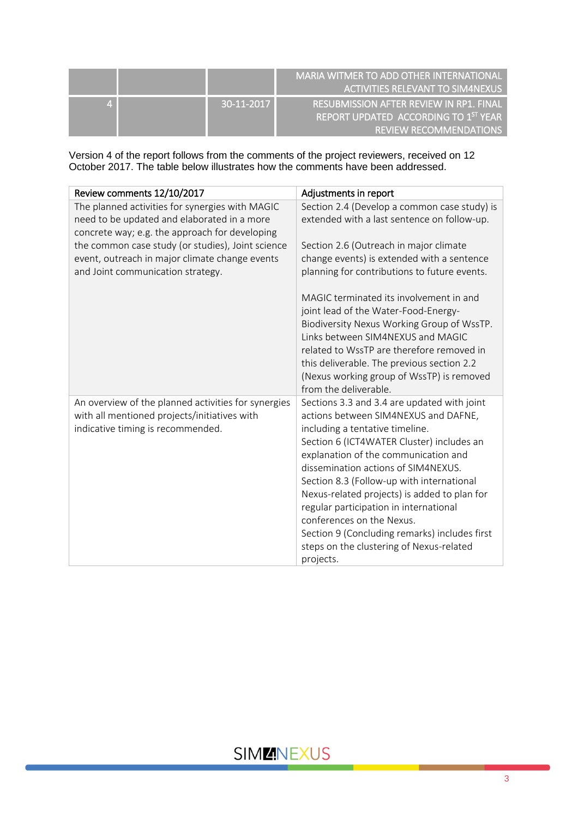|  |            | MARIA WITMER TO ADD OTHER INTERNATIONAL<br>ACTIVITIES RELEVANT TO SIM4NEXUS                                             |
|--|------------|-------------------------------------------------------------------------------------------------------------------------|
|  | 30-11-2017 | <b>RESUBMISSION AFTER REVIEW IN RP1. FINAL</b><br>REPORT UPDATED ACCORDING TO 1ST YEAR<br><b>REVIEW RECOMMENDATIONS</b> |

Version 4 of the report follows from the comments of the project reviewers, received on 12 October 2017. The table below illustrates how the comments have been addressed.

| Review comments 12/10/2017                                                                                                                       | Adjustments in report                                                                                                                                                                                                                                                                                                                                                                                                                                                                                                            |
|--------------------------------------------------------------------------------------------------------------------------------------------------|----------------------------------------------------------------------------------------------------------------------------------------------------------------------------------------------------------------------------------------------------------------------------------------------------------------------------------------------------------------------------------------------------------------------------------------------------------------------------------------------------------------------------------|
| The planned activities for synergies with MAGIC<br>need to be updated and elaborated in a more<br>concrete way; e.g. the approach for developing | Section 2.4 (Develop a common case study) is<br>extended with a last sentence on follow-up.                                                                                                                                                                                                                                                                                                                                                                                                                                      |
| the common case study (or studies), Joint science<br>event, outreach in major climate change events<br>and Joint communication strategy.         | Section 2.6 (Outreach in major climate<br>change events) is extended with a sentence<br>planning for contributions to future events.                                                                                                                                                                                                                                                                                                                                                                                             |
|                                                                                                                                                  | MAGIC terminated its involvement in and<br>joint lead of the Water-Food-Energy-<br>Biodiversity Nexus Working Group of WssTP.<br>Links between SIM4NEXUS and MAGIC<br>related to WssTP are therefore removed in<br>this deliverable. The previous section 2.2<br>(Nexus working group of WssTP) is removed<br>from the deliverable.                                                                                                                                                                                              |
| An overview of the planned activities for synergies<br>with all mentioned projects/initiatives with<br>indicative timing is recommended.         | Sections 3.3 and 3.4 are updated with joint<br>actions between SIM4NEXUS and DAFNE,<br>including a tentative timeline.<br>Section 6 (ICT4WATER Cluster) includes an<br>explanation of the communication and<br>dissemination actions of SIM4NEXUS.<br>Section 8.3 (Follow-up with international<br>Nexus-related projects) is added to plan for<br>regular participation in international<br>conferences on the Nexus.<br>Section 9 (Concluding remarks) includes first<br>steps on the clustering of Nexus-related<br>projects. |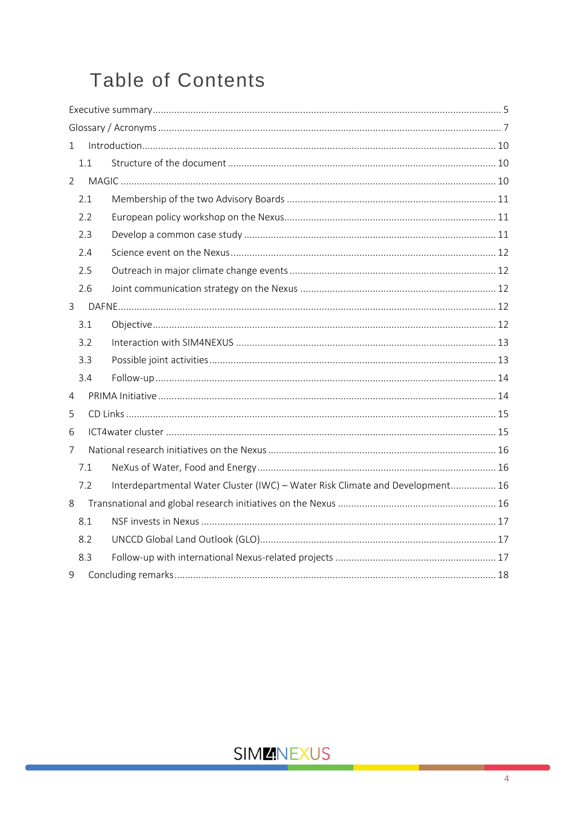# **Table of Contents**

| $\mathbf{1}$   |     |                                                                               |  |
|----------------|-----|-------------------------------------------------------------------------------|--|
|                | 1.1 |                                                                               |  |
| $\overline{2}$ |     |                                                                               |  |
|                | 2.1 |                                                                               |  |
|                | 2.2 |                                                                               |  |
|                | 2.3 |                                                                               |  |
|                | 2.4 |                                                                               |  |
|                | 2.5 |                                                                               |  |
|                | 2.6 |                                                                               |  |
| 3              |     |                                                                               |  |
|                | 3.1 |                                                                               |  |
|                | 3.2 |                                                                               |  |
|                | 3.3 |                                                                               |  |
|                | 3.4 |                                                                               |  |
| 4              |     |                                                                               |  |
| 5              |     |                                                                               |  |
| 6              |     |                                                                               |  |
| 7              |     |                                                                               |  |
|                | 7.1 |                                                                               |  |
|                | 7.2 | Interdepartmental Water Cluster (IWC) - Water Risk Climate and Development 16 |  |
| 8              |     |                                                                               |  |
|                | 8.1 |                                                                               |  |
| 8.2            |     |                                                                               |  |
|                | 8.3 |                                                                               |  |
| 9              |     |                                                                               |  |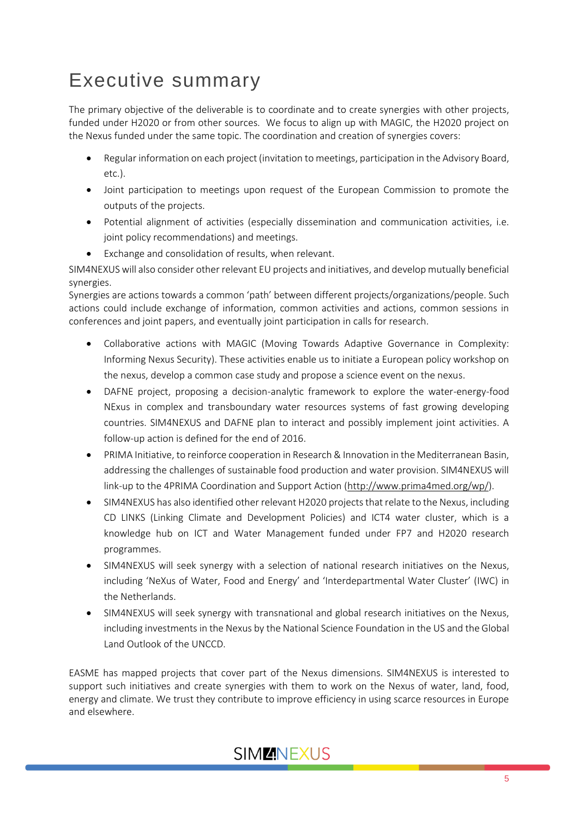## <span id="page-4-0"></span>Executive summary

The primary objective of the deliverable is to coordinate and to create synergies with other projects, funded under H2020 or from other sources. We focus to align up with MAGIC, the H2020 project on the Nexus funded under the same topic. The coordination and creation of synergies covers:

- Regular information on each project (invitation to meetings, participation in the Advisory Board, etc.).
- Joint participation to meetings upon request of the European Commission to promote the outputs of the projects.
- Potential alignment of activities (especially dissemination and communication activities, i.e. joint policy recommendations) and meetings.
- Exchange and consolidation of results, when relevant.

SIM4NEXUS will also consider other relevant EU projects and initiatives, and develop mutually beneficial synergies.

Synergies are actions towards a common 'path' between different projects/organizations/people. Such actions could include exchange of information, common activities and actions, common sessions in conferences and joint papers, and eventually joint participation in calls for research.

- Collaborative actions with MAGIC (Moving Towards Adaptive Governance in Complexity: Informing Nexus Security). These activities enable us to initiate a European policy workshop on the nexus, develop a common case study and propose a science event on the nexus.
- DAFNE project, proposing a decision-analytic framework to explore the water-energy-food NExus in complex and transboundary water resources systems of fast growing developing countries. SIM4NEXUS and DAFNE plan to interact and possibly implement joint activities. A follow-up action is defined for the end of 2016.
- PRIMA Initiative, to reinforce cooperation in Research & Innovation in the Mediterranean Basin, addressing the challenges of sustainable food production and water provision. SIM4NEXUS will link-up to the 4PRIMA Coordination and Support Action [\(http://www.prima4med.org/wp/\)](http://www.prima4med.org/wp/).
- SIM4NEXUS has also identified other relevant H2020 projects that relate to the Nexus, including CD LINKS (Linking Climate and Development Policies) and ICT4 water cluster, which is a knowledge hub on ICT and Water Management funded under FP7 and H2020 research programmes.
- SIM4NEXUS will seek synergy with a selection of national research initiatives on the Nexus, including 'NeXus of Water, Food and Energy' and 'Interdepartmental Water Cluster' (IWC) in the Netherlands.
- SIM4NEXUS will seek synergy with transnational and global research initiatives on the Nexus, including investments in the Nexus by the National Science Foundation in the US and the Global Land Outlook of the UNCCD.

EASME has mapped projects that cover part of the Nexus dimensions. SIM4NEXUS is interested to support such initiatives and create synergies with them to work on the Nexus of water, land, food, energy and climate. We trust they contribute to improve efficiency in using scarce resources in Europe and elsewhere.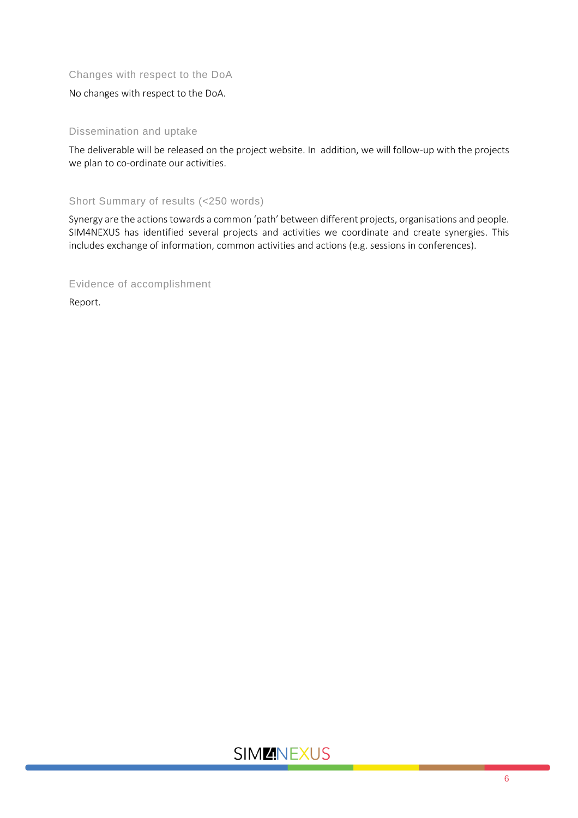Changes with respect to the DoA

No changes with respect to the DoA.

#### Dissemination and uptake

The deliverable will be released on the project website. In addition, we will follow-up with the projects we plan to co-ordinate our activities.

#### Short Summary of results (<250 words)

Synergy are the actions towards a common 'path' between different projects, organisations and people. SIM4NEXUS has identified several projects and activities we coordinate and create synergies. This includes exchange of information, common activities and actions (e.g. sessions in conferences).

Evidence of accomplishment

Report.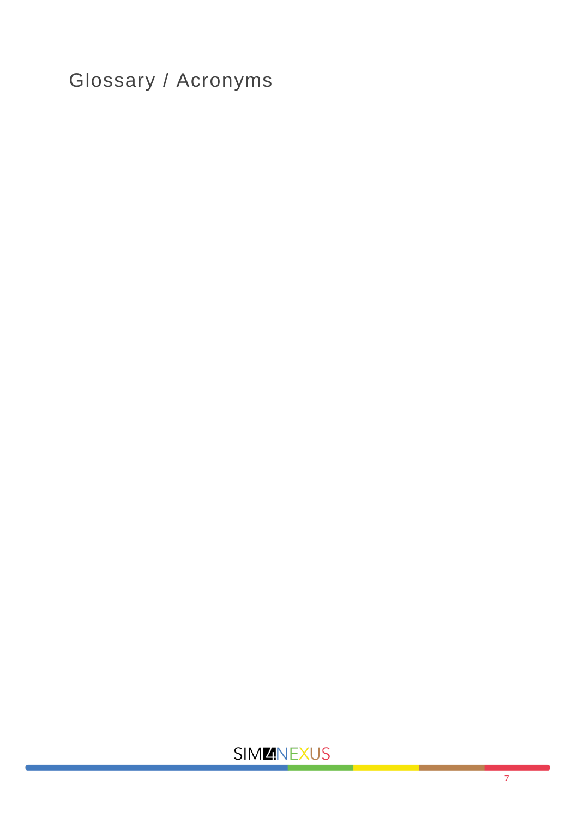<span id="page-6-0"></span>Glossary / Acronyms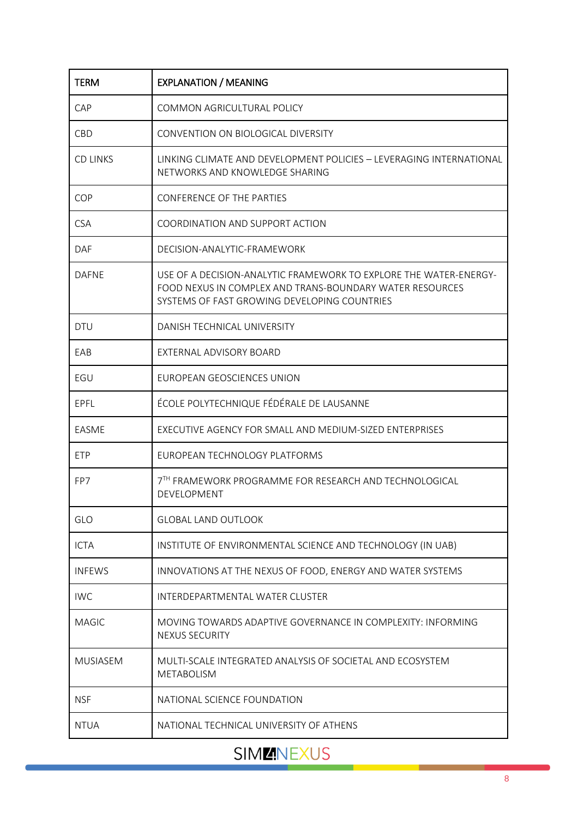| <b>TERM</b>     | <b>EXPLANATION / MEANING</b>                                                                                                                                                  |
|-----------------|-------------------------------------------------------------------------------------------------------------------------------------------------------------------------------|
| CAP             | COMMON AGRICULTURAL POLICY                                                                                                                                                    |
| CBD             | CONVENTION ON BIOLOGICAL DIVERSITY                                                                                                                                            |
| <b>CD LINKS</b> | LINKING CLIMATE AND DEVELOPMENT POLICIES - LEVERAGING INTERNATIONAL<br>NETWORKS AND KNOWLEDGE SHARING                                                                         |
| <b>COP</b>      | <b>CONFERENCE OF THE PARTIES</b>                                                                                                                                              |
| <b>CSA</b>      | COORDINATION AND SUPPORT ACTION                                                                                                                                               |
| DAF             | DECISION-ANALYTIC-FRAMEWORK                                                                                                                                                   |
| <b>DAFNE</b>    | USE OF A DECISION-ANALYTIC FRAMEWORK TO EXPLORE THE WATER-ENERGY-<br>FOOD NEXUS IN COMPLEX AND TRANS-BOUNDARY WATER RESOURCES<br>SYSTEMS OF FAST GROWING DEVELOPING COUNTRIES |
| <b>DTU</b>      | DANISH TECHNICAL UNIVERSITY                                                                                                                                                   |
| EAB             | EXTERNAL ADVISORY BOARD                                                                                                                                                       |
| EGU             | EUROPEAN GEOSCIENCES UNION                                                                                                                                                    |
| EPFL            | ÉCOLE POLYTECHNIQUE FÉDÉRALE DE LAUSANNE                                                                                                                                      |
| EASME           | EXECUTIVE AGENCY FOR SMALL AND MEDIUM-SIZED ENTERPRISES                                                                                                                       |
| <b>ETP</b>      | EUROPEAN TECHNOLOGY PLATFORMS                                                                                                                                                 |
| FP7             | 7TH FRAMEWORK PROGRAMME FOR RESEARCH AND TECHNOLOGICAL<br>DEVELOPMENT                                                                                                         |
| GLO             | <b>GLOBAL LAND OUTLOOK</b>                                                                                                                                                    |
| <b>ICTA</b>     | INSTITUTE OF ENVIRONMENTAL SCIENCE AND TECHNOLOGY (IN UAB)                                                                                                                    |
| <b>INFEWS</b>   | INNOVATIONS AT THE NEXUS OF FOOD, ENERGY AND WATER SYSTEMS                                                                                                                    |
| <b>IWC</b>      | <b>INTERDEPARTMENTAL WATER CLUSTER</b>                                                                                                                                        |
| <b>MAGIC</b>    | MOVING TOWARDS ADAPTIVE GOVERNANCE IN COMPLEXITY: INFORMING<br><b>NEXUS SECURITY</b>                                                                                          |
| <b>MUSIASEM</b> | MULTI-SCALE INTEGRATED ANALYSIS OF SOCIETAL AND ECOSYSTEM<br><b>METABOLISM</b>                                                                                                |
| <b>NSF</b>      | NATIONAL SCIENCE FOUNDATION                                                                                                                                                   |
| <b>NTUA</b>     | NATIONAL TECHNICAL UNIVERSITY OF ATHENS                                                                                                                                       |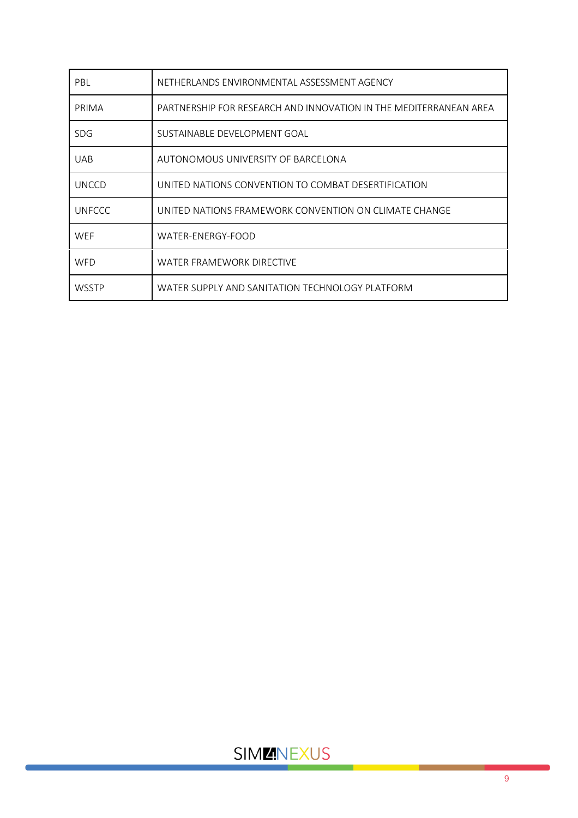| PBL           | NETHERLANDS ENVIRONMENTAL ASSESSMENT AGENCY                       |
|---------------|-------------------------------------------------------------------|
| PRIMA         | PARTNERSHIP FOR RESEARCH AND INNOVATION IN THE MEDITERRANEAN AREA |
| <b>SDG</b>    | SUSTAINABLE DEVELOPMENT GOAL                                      |
| <b>UAB</b>    | AUTONOMOUS UNIVERSITY OF BARCELONA                                |
| UNCCD         | UNITED NATIONS CONVENTION TO COMBAT DESERTIFICATION               |
| <b>UNFCCC</b> | UNITED NATIONS FRAMEWORK CONVENTION ON CLIMATE CHANGE             |
| <b>WEF</b>    | WATER-ENERGY-FOOD                                                 |
| <b>WFD</b>    | WATER FRAMEWORK DIRECTIVE                                         |
| <b>WSSTP</b>  | WATER SUPPLY AND SANITATION TECHNOLOGY PLATFORM                   |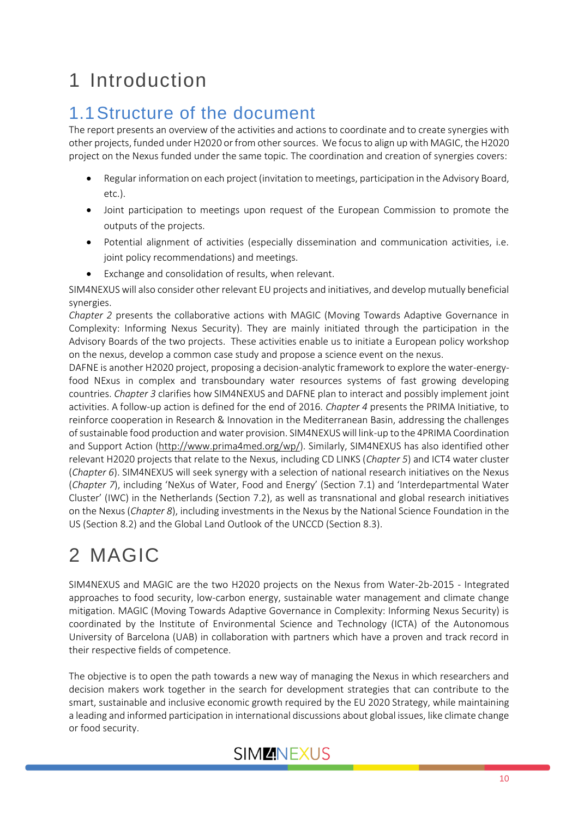# <span id="page-9-0"></span>1 Introduction

## <span id="page-9-1"></span>1.1Structure of the document

The report presents an overview of the activities and actions to coordinate and to create synergies with other projects, funded under H2020 or from other sources. We focus to align up with MAGIC, the H2020 project on the Nexus funded under the same topic. The coordination and creation of synergies covers:

- Regular information on each project (invitation to meetings, participation in the Advisory Board, etc.).
- Joint participation to meetings upon request of the European Commission to promote the outputs of the projects.
- Potential alignment of activities (especially dissemination and communication activities, i.e. joint policy recommendations) and meetings.
- Exchange and consolidation of results, when relevant.

SIM4NEXUS will also consider other relevant EU projects and initiatives, and develop mutually beneficial synergies.

*Chapter 2* presents the collaborative actions with MAGIC (Moving Towards Adaptive Governance in Complexity: Informing Nexus Security). They are mainly initiated through the participation in the Advisory Boards of the two projects. These activities enable us to initiate a European policy workshop on the nexus, develop a common case study and propose a science event on the nexus.

DAFNE is another H2020 project, proposing a decision-analytic framework to explore the water-energyfood NExus in complex and transboundary water resources systems of fast growing developing countries. *Chapter 3* clarifies how SIM4NEXUS and DAFNE plan to interact and possibly implement joint activities. A follow-up action is defined for the end of 2016. *Chapter 4* presents the PRIMA Initiative, to reinforce cooperation in Research & Innovation in the Mediterranean Basin, addressing the challenges of sustainable food production and water provision. SIM4NEXUS will link-up to the 4PRIMA Coordination and Support Action [\(http://www.prima4med.org/wp/\)](http://www.prima4med.org/wp/). Similarly, SIM4NEXUS has also identified other relevant H2020 projects that relate to the Nexus, including CD LINKS (*Chapter 5*) and ICT4 water cluster (*Chapter 6*). SIM4NEXUS will seek synergy with a selection of national research initiatives on the Nexus (*Chapter 7*), including 'NeXus of Water, Food and Energy' (Section 7.1) and 'Interdepartmental Water Cluster' (IWC) in the Netherlands (Section 7.2), as well as transnational and global research initiatives on the Nexus (*Chapter 8*), including investments in the Nexus by the National Science Foundation in the US (Section 8.2) and the Global Land Outlook of the UNCCD (Section 8.3).

# <span id="page-9-2"></span>2 MAGIC

SIM4NEXUS and MAGIC are the two H2020 projects on the Nexus from Water-2b-2015 - Integrated approaches to food security, low-carbon energy, sustainable water management and climate change mitigation. MAGIC (Moving Towards Adaptive Governance in Complexity: Informing Nexus Security) is coordinated by the Institute of Environmental Science and Technology (ICTA) of the Autonomous University of Barcelona (UAB) in collaboration with partners which have a proven and track record in their respective fields of competence.

The objective is to open the path towards a new way of managing the Nexus in which researchers and decision makers work together in the search for development strategies that can contribute to the smart, sustainable and inclusive economic growth required by the EU 2020 Strategy, while maintaining a leading and informed participation in international discussions about global issues, like climate change or food security.

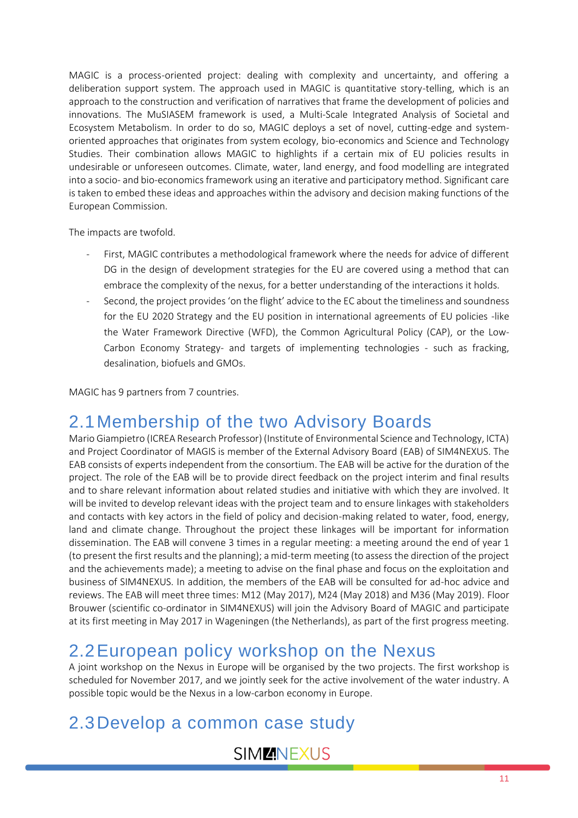MAGIC is a process-oriented project: dealing with complexity and uncertainty, and offering a deliberation support system. The approach used in MAGIC is quantitative story-telling, which is an approach to the construction and verification of narratives that frame the development of policies and innovations. The MuSIASEM framework is used, a Multi-Scale Integrated Analysis of Societal and Ecosystem Metabolism. In order to do so, MAGIC deploys a set of novel, cutting-edge and systemoriented approaches that originates from system ecology, bio-economics and Science and Technology Studies. Their combination allows MAGIC to highlights if a certain mix of EU policies results in undesirable or unforeseen outcomes. Climate, water, land energy, and food modelling are integrated into a socio- and bio-economics framework using an iterative and participatory method. Significant care is taken to embed these ideas and approaches within the advisory and decision making functions of the European Commission.

The impacts are twofold.

- First, MAGIC contributes a methodological framework where the needs for advice of different DG in the design of development strategies for the EU are covered using a method that can embrace the complexity of the nexus, for a better understanding of the interactions it holds.
- Second, the project provides 'on the flight' advice to the EC about the timeliness and soundness for the EU 2020 Strategy and the EU position in international agreements of EU policies -like the Water Framework Directive (WFD), the Common Agricultural Policy (CAP), or the Low-Carbon Economy Strategy- and targets of implementing technologies - such as fracking, desalination, biofuels and GMOs.

MAGIC has 9 partners from 7 countries.

## <span id="page-10-0"></span>2.1Membership of the two Advisory Boards

Mario Giampietro (ICREA Research Professor) (Institute of Environmental Science and Technology, ICTA) and Project Coordinator of MAGIS is member of the External Advisory Board (EAB) of SIM4NEXUS. The EAB consists of experts independent from the consortium. The EAB will be active for the duration of the project. The role of the EAB will be to provide direct feedback on the project interim and final results and to share relevant information about related studies and initiative with which they are involved. It will be invited to develop relevant ideas with the project team and to ensure linkages with stakeholders and contacts with key actors in the field of policy and decision-making related to water, food, energy, land and climate change. Throughout the project these linkages will be important for information dissemination. The EAB will convene 3 times in a regular meeting: a meeting around the end of year 1 (to present the first results and the planning); a mid-term meeting (to assess the direction of the project and the achievements made); a meeting to advise on the final phase and focus on the exploitation and business of SIM4NEXUS. In addition, the members of the EAB will be consulted for ad-hoc advice and reviews. The EAB will meet three times: M12 (May 2017), M24 (May 2018) and M36 (May 2019). Floor Brouwer (scientific co-ordinator in SIM4NEXUS) will join the Advisory Board of MAGIC and participate at its first meeting in May 2017 in Wageningen (the Netherlands), as part of the first progress meeting.

## <span id="page-10-1"></span>2.2European policy workshop on the Nexus

A joint workshop on the Nexus in Europe will be organised by the two projects. The first workshop is scheduled for November 2017, and we jointly seek for the active involvement of the water industry. A possible topic would be the Nexus in a low-carbon economy in Europe.

## <span id="page-10-2"></span>2.3Develop a common case study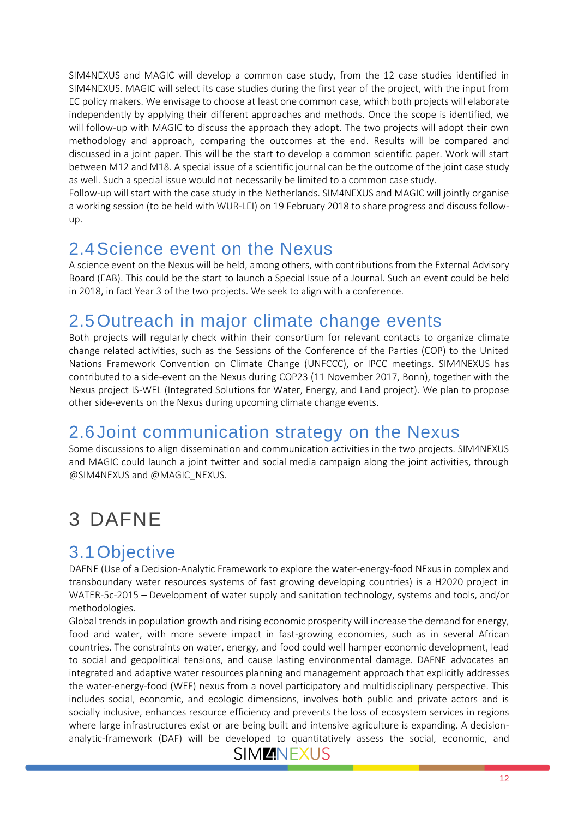SIM4NEXUS and MAGIC will develop a common case study, from the 12 case studies identified in SIM4NEXUS. MAGIC will select its case studies during the first year of the project, with the input from EC policy makers. We envisage to choose at least one common case, which both projects will elaborate independently by applying their different approaches and methods. Once the scope is identified, we will follow-up with MAGIC to discuss the approach they adopt. The two projects will adopt their own methodology and approach, comparing the outcomes at the end. Results will be compared and discussed in a joint paper. This will be the start to develop a common scientific paper. Work will start between M12 and M18. A special issue of a scientific journal can be the outcome of the joint case study as well. Such a special issue would not necessarily be limited to a common case study.

Follow-up will start with the case study in the Netherlands. SIM4NEXUS and MAGIC will jointly organise a working session (to be held with WUR-LEI) on 19 February 2018 to share progress and discuss followup.

## <span id="page-11-0"></span>2.4Science event on the Nexus

A science event on the Nexus will be held, among others, with contributions from the External Advisory Board (EAB). This could be the start to launch a Special Issue of a Journal. Such an event could be held in 2018, in fact Year 3 of the two projects. We seek to align with a conference.

## <span id="page-11-1"></span>2.5Outreach in major climate change events

Both projects will regularly check within their consortium for relevant contacts to organize climate change related activities, such as the Sessions of the Conference of the Parties (COP) to the United Nations Framework Convention on Climate Change (UNFCCC), or IPCC meetings. SIM4NEXUS has contributed to a side-event on the Nexus during COP23 (11 November 2017, Bonn), together with the Nexus project IS-WEL (Integrated Solutions for Water, Energy, and Land project). We plan to propose other side-events on the Nexus during upcoming climate change events.

## <span id="page-11-2"></span>2.6Joint communication strategy on the Nexus

Some discussions to align dissemination and communication activities in the two projects. SIM4NEXUS and MAGIC could launch a joint twitter and social media campaign along the joint activities, through @SIM4NEXUS and @MAGIC\_NEXUS.

# <span id="page-11-3"></span>3 DAFNE

## <span id="page-11-4"></span>3.1Objective

DAFNE (Use of a Decision-Analytic Framework to explore the water-energy-food NExus in complex and transboundary water resources systems of fast growing developing countries) is a H2020 project in WATER-5c-2015 – Development of water supply and sanitation technology, systems and tools, and/or methodologies.

Global trends in population growth and rising economic prosperity will increase the demand for energy, food and water, with more severe impact in fast-growing economies, such as in several African countries. The constraints on water, energy, and food could well hamper economic development, lead to social and geopolitical tensions, and cause lasting environmental damage. DAFNE advocates an integrated and adaptive water resources planning and management approach that explicitly addresses the water-energy-food (WEF) nexus from a novel participatory and multidisciplinary perspective. This includes social, economic, and ecologic dimensions, involves both public and private actors and is socially inclusive, enhances resource efficiency and prevents the loss of ecosystem services in regions where large infrastructures exist or are being built and intensive agriculture is expanding. A decisionanalytic-framework (DAF) will be developed to quantitatively assess the social, economic, and

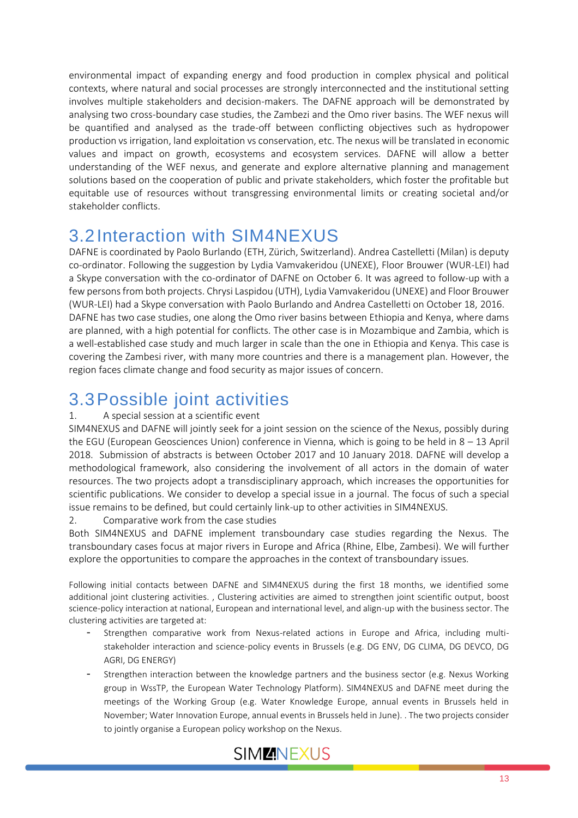environmental impact of expanding energy and food production in complex physical and political contexts, where natural and social processes are strongly interconnected and the institutional setting involves multiple stakeholders and decision-makers. The DAFNE approach will be demonstrated by analysing two cross-boundary case studies, the Zambezi and the Omo river basins. The WEF nexus will be quantified and analysed as the trade-off between conflicting objectives such as hydropower production vs irrigation, land exploitation vs conservation, etc. The nexus will be translated in economic values and impact on growth, ecosystems and ecosystem services. DAFNE will allow a better understanding of the WEF nexus, and generate and explore alternative planning and management solutions based on the cooperation of public and private stakeholders, which foster the profitable but equitable use of resources without transgressing environmental limits or creating societal and/or stakeholder conflicts.

## <span id="page-12-0"></span>3.2Interaction with SIM4NEXUS

DAFNE is coordinated by Paolo Burlando (ETH, Zürich, Switzerland). Andrea Castelletti (Milan) is deputy co-ordinator. Following the suggestion by Lydia Vamvakeridou (UNEXE), Floor Brouwer (WUR-LEI) had a Skype conversation with the co-ordinator of DAFNE on October 6. It was agreed to follow-up with a few persons from both projects. Chrysi Laspidou (UTH), Lydia Vamvakeridou (UNEXE) and Floor Brouwer (WUR-LEI) had a Skype conversation with Paolo Burlando and Andrea Castelletti on October 18, 2016. DAFNE has two case studies, one along the Omo river basins between Ethiopia and Kenya, where dams are planned, with a high potential for conflicts. The other case is in Mozambique and Zambia, which is a well-established case study and much larger in scale than the one in Ethiopia and Kenya. This case is covering the Zambesi river, with many more countries and there is a management plan. However, the region faces climate change and food security as major issues of concern.

## <span id="page-12-1"></span>3.3Possible joint activities

#### 1. A special session at a scientific event

SIM4NEXUS and DAFNE will jointly seek for a joint session on the science of the Nexus, possibly during the EGU (European Geosciences Union) conference in Vienna, which is going to be held in 8 – 13 April 2018. Submission of abstracts is between October 2017 and 10 January 2018. DAFNE will develop a methodological framework, also considering the involvement of all actors in the domain of water resources. The two projects adopt a transdisciplinary approach, which increases the opportunities for scientific publications. We consider to develop a special issue in a journal. The focus of such a special issue remains to be defined, but could certainly link-up to other activities in SIM4NEXUS.

#### 2. Comparative work from the case studies

Both SIM4NEXUS and DAFNE implement transboundary case studies regarding the Nexus. The transboundary cases focus at major rivers in Europe and Africa (Rhine, Elbe, Zambesi). We will further explore the opportunities to compare the approaches in the context of transboundary issues.

Following initial contacts between DAFNE and SIM4NEXUS during the first 18 months, we identified some additional joint clustering activities. , Clustering activities are aimed to strengthen joint scientific output, boost science-policy interaction at national, European and international level, and align-up with the business sector. The clustering activities are targeted at:

- Strengthen comparative work from Nexus-related actions in Europe and Africa, including multistakeholder interaction and science-policy events in Brussels (e.g. DG ENV, DG CLIMA, DG DEVCO, DG AGRI, DG ENERGY)
- Strengthen interaction between the knowledge partners and the business sector (e.g. Nexus Working group in WssTP, the European Water Technology Platform). SIM4NEXUS and DAFNE meet during the meetings of the Working Group (e.g. Water Knowledge Europe, annual events in Brussels held in November; Water Innovation Europe, annual events in Brussels held in June). . The two projects consider to jointly organise a European policy workshop on the Nexus.

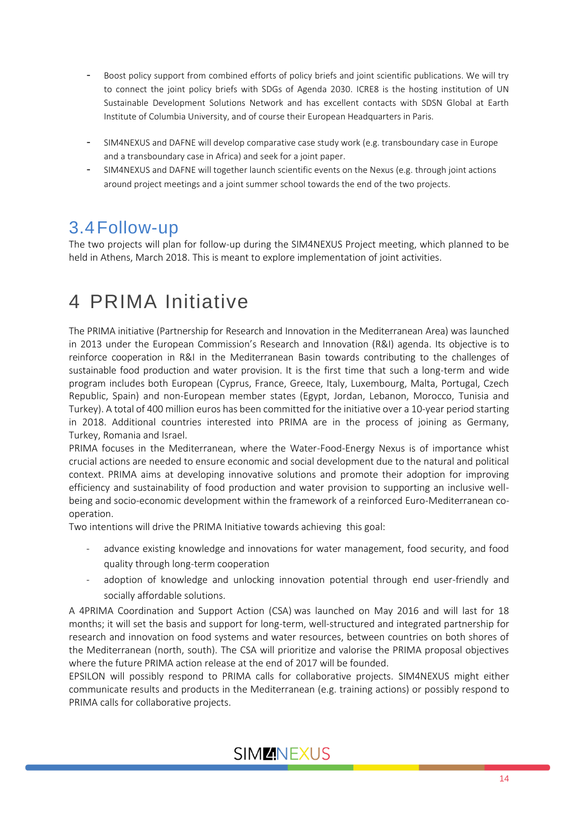- Boost policy support from combined efforts of policy briefs and joint scientific publications. We will try to connect the joint policy briefs with SDGs of Agenda 2030. ICRE8 is the hosting institution of UN Sustainable Development Solutions Network and has excellent contacts with SDSN Global at Earth Institute of Columbia University, and of course their European Headquarters in Paris.
- SIM4NEXUS and DAFNE will develop comparative case study work (e.g. transboundary case in Europe and a transboundary case in Africa) and seek for a joint paper.
- SIM4NEXUS and DAFNE will together launch scientific events on the Nexus (e.g. through joint actions around project meetings and a joint summer school towards the end of the two projects.

## <span id="page-13-0"></span>3.4Follow-up

The two projects will plan for follow-up during the SIM4NEXUS Project meeting, which planned to be held in Athens, March 2018. This is meant to explore implementation of joint activities.

## <span id="page-13-1"></span>4 PRIMA Initiative

Th[e PRIMA initiative](https://ec.europa.eu/research/environment/index.cfm?pg=prima) (Partnership for Research and Innovation in the Mediterranean Area) was launched in 2013 under the European Commission's Research and Innovation (R&I) agenda. Its objective is to reinforce cooperation in R&I in the Mediterranean Basin towards contributing to the challenges of sustainable food production and water provision. It is the first time that such a long-term and wide program includes both European (Cyprus, France, Greece, Italy, Luxembourg, Malta, Portugal, Czech Republic, Spain) and non-European member states (Egypt, Jordan, Lebanon, Morocco, Tunisia and Turkey). A total of 400 million euros has been committed for the initiative over a 10-year period starting in 2018. Additional countries interested into PRIMA are in the process of joining as Germany, Turkey, Romania and Israel.

PRIMA focuses in the Mediterranean, where the Water-Food-Energy Nexus is of importance whist crucial actions are needed to ensure economic and social development due to the natural and political context. PRIMA aims at developing innovative solutions and promote their adoption for improving efficiency and sustainability of food production and water provision to supporting an inclusive wellbeing and socio-economic development within the framework of a reinforced Euro-Mediterranean cooperation.

Two intentions will drive the PRIMA Initiative towards achieving this goal:

- advance existing knowledge and innovations for water management, food security, and food quality through long-term cooperation
- adoption of knowledge and unlocking innovation potential through end user-friendly and socially affordable solutions.

A [4PRIMA Coordination and Support Action \(CSA\)](http://www.prima4med.org/the-project/) was launched on May 2016 and will last for 18 months; it will set the basis and support for long-term, well-structured and integrated partnership for research and innovation on food systems and water resources, between countries on both shores of the Mediterranean (north, south). The CSA will prioritize and valorise the PRIMA proposal objectives where the future PRIMA action release at the end of 2017 will be founded.

EPSILON will possibly respond to PRIMA calls for collaborative projects. SIM4NEXUS might either communicate results and products in the Mediterranean (e.g. training actions) or possibly respond to PRIMA calls for collaborative projects.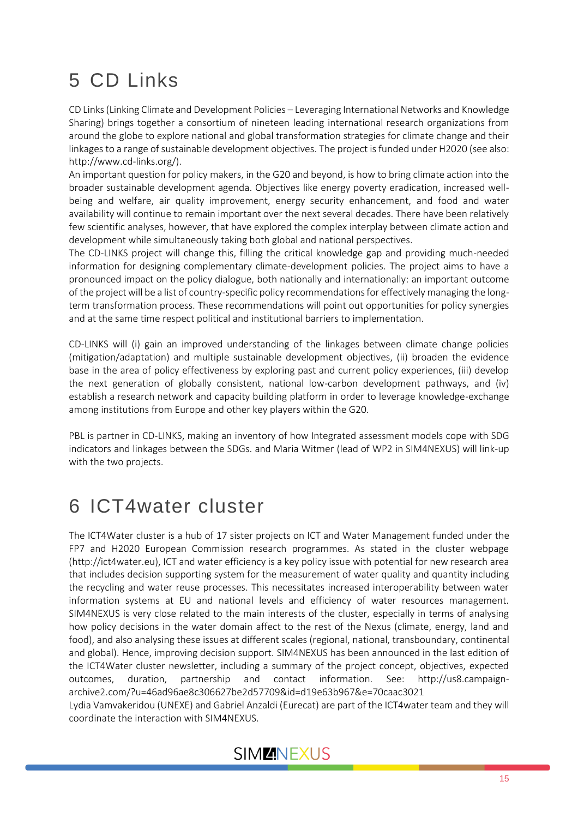# <span id="page-14-0"></span>5 CD Links

CD Links (Linking Climate and Development Policies – Leveraging International Networks and Knowledge Sharing) brings together a consortium of nineteen leading international research organizations from around the globe to explore national and global transformation strategies for climate change and their linkages to a range of sustainable development objectives. The project is funded under H2020 (see also: http://www.cd-links.org/).

An important question for policy makers, in the G20 and beyond, is how to bring climate action into the broader sustainable development agenda. Objectives like energy poverty eradication, increased wellbeing and welfare, air quality improvement, energy security enhancement, and food and water availability will continue to remain important over the next several decades. There have been relatively few scientific analyses, however, that have explored the complex interplay between climate action and development while simultaneously taking both global and national perspectives.

The CD-LINKS project will change this, filling the critical knowledge gap and providing much-needed information for designing complementary climate-development policies. The project aims to have a pronounced impact on the policy dialogue, both nationally and internationally: an important outcome of the project will be a list of country-specific policy recommendations for effectively managing the longterm transformation process. These recommendations will point out opportunities for policy synergies and at the same time respect political and institutional barriers to implementation.

CD-LINKS will (i) gain an improved understanding of the linkages between climate change policies (mitigation/adaptation) and multiple sustainable development objectives, (ii) broaden the evidence base in the area of policy effectiveness by exploring past and current policy experiences, (iii) develop the next generation of globally consistent, national low-carbon development pathways, and (iv) establish a research network and capacity building platform in order to leverage knowledge-exchange among institutions from Europe and other key players within the G20.

PBL is partner in CD-LINKS, making an inventory of how Integrated assessment models cope with SDG indicators and linkages between the SDGs. and Maria Witmer (lead of WP2 in SIM4NEXUS) will link-up with the two projects.

# <span id="page-14-1"></span>6 ICT4water cluster

The ICT4Water cluster is a hub of 17 sister projects on ICT and Water Management funded under the FP7 and H2020 European Commission research programmes. As stated in the cluster webpage (http://ict4water.eu), ICT and water efficiency is a key policy issue with potential for new research area that includes decision supporting system for the measurement of water quality and quantity including the recycling and water reuse processes. This necessitates increased interoperability between water information systems at EU and national levels and efficiency of water resources management. SIM4NEXUS is very close related to the main interests of the cluster, especially in terms of analysing how policy decisions in the water domain affect to the rest of the Nexus (climate, energy, land and food), and also analysing these issues at different scales (regional, national, transboundary, continental and global). Hence, improving decision support. SIM4NEXUS has been announced in the last edition of the ICT4Water cluster newsletter, including a summary of the project concept, objectives, expected outcomes, duration, partnership and contact information. See: http://us8.campaignarchive2.com/?u=46ad96ae8c306627be2d57709&id=d19e63b967&e=70caac3021

Lydia Vamvakeridou (UNEXE) and Gabriel Anzaldi (Eurecat) are part of the ICT4water team and they will coordinate the interaction with SIM4NEXUS.

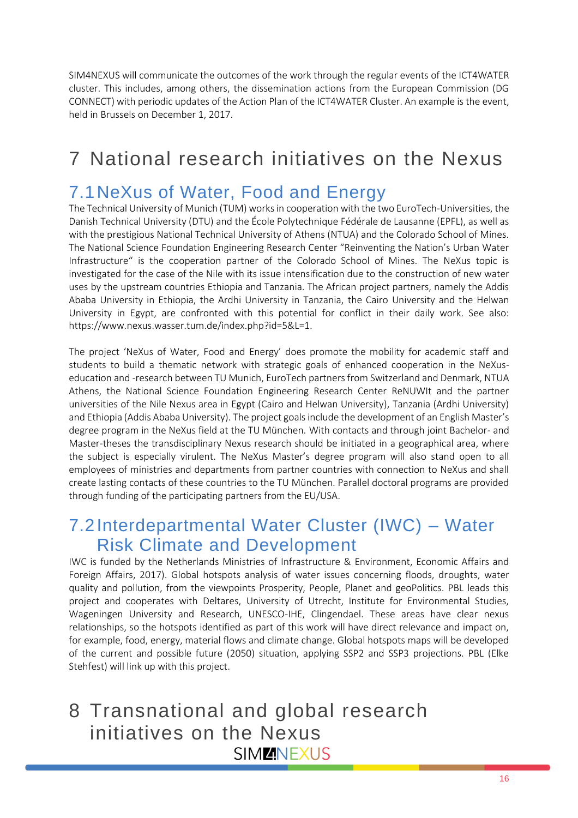SIM4NEXUS will communicate the outcomes of the work through the regular events of the ICT4WATER cluster. This includes, among others, the dissemination actions from the European Commission (DG CONNECT) with periodic updates of the Action Plan of the ICT4WATER Cluster. An example is the event, held in Brussels on December 1, 2017.

## <span id="page-15-0"></span>7 National research initiatives on the Nexus

## <span id="page-15-1"></span>7.1NeXus of Water, Food and Energy

The Technical University of Munich (TUM) works in cooperation with the two EuroTech-Universities, the Danish Technical University (DTU) and the École Polytechnique Fédérale de Lausanne (EPFL), as well as with the prestigious National Technical University of Athens (NTUA) and the Colorado School of Mines. The National Science Foundation Engineering Research Center "Reinventing the Nation's Urban Water Infrastructure" is the cooperation partner of the Colorado School of Mines. The NeXus topic is investigated for the case of the Nile with its issue intensification due to the construction of new water uses by the upstream countries Ethiopia and Tanzania. The African project partners, namely the Addis Ababa University in Ethiopia, the Ardhi University in Tanzania, the Cairo University and the Helwan University in Egypt, are confronted with this potential for conflict in their daily work. See also: https://www.nexus.wasser.tum.de/index.php?id=5&L=1.

The project 'NeXus of Water, Food and Energy' does promote the mobility for academic staff and students to build a thematic network with strategic goals of enhanced cooperation in the NeXuseducation and -research between TU Munich, EuroTech partners from Switzerland and Denmark, NTUA Athens, the National Science Foundation Engineering Research Center ReNUWIt and the partner universities of the Nile Nexus area in Egypt (Cairo and Helwan University), Tanzania (Ardhi University) and Ethiopia (Addis Ababa University). The project goals include the development of an English Master's degree program in the NeXus field at the TU München. With contacts and through joint Bachelor- and Master-theses the transdisciplinary Nexus research should be initiated in a geographical area, where the subject is especially virulent. The NeXus Master's degree program will also stand open to all employees of ministries and departments from partner countries with connection to NeXus and shall create lasting contacts of these countries to the TU München. Parallel doctoral programs are provided through funding of the participating partners from the EU/USA.

## <span id="page-15-2"></span>7.2Interdepartmental Water Cluster (IWC) – Water Risk Climate and Development

IWC is funded by the Netherlands Ministries of Infrastructure & Environment, Economic Affairs and Foreign Affairs, 2017). Global hotspots analysis of water issues concerning floods, droughts, water quality and pollution, from the viewpoints Prosperity, People, Planet and geoPolitics. PBL leads this project and cooperates with Deltares, University of Utrecht, Institute for Environmental Studies, Wageningen University and Research, UNESCO-IHE, Clingendael. These areas have clear nexus relationships, so the hotspots identified as part of this work will have direct relevance and impact on, for example, food, energy, material flows and climate change. Global hotspots maps will be developed of the current and possible future (2050) situation, applying SSP2 and SSP3 projections. PBL (Elke Stehfest) will link up with this project.

#### <span id="page-15-3"></span>8 Transnational and global research initiatives on the Nexus**SIMMINEXUS**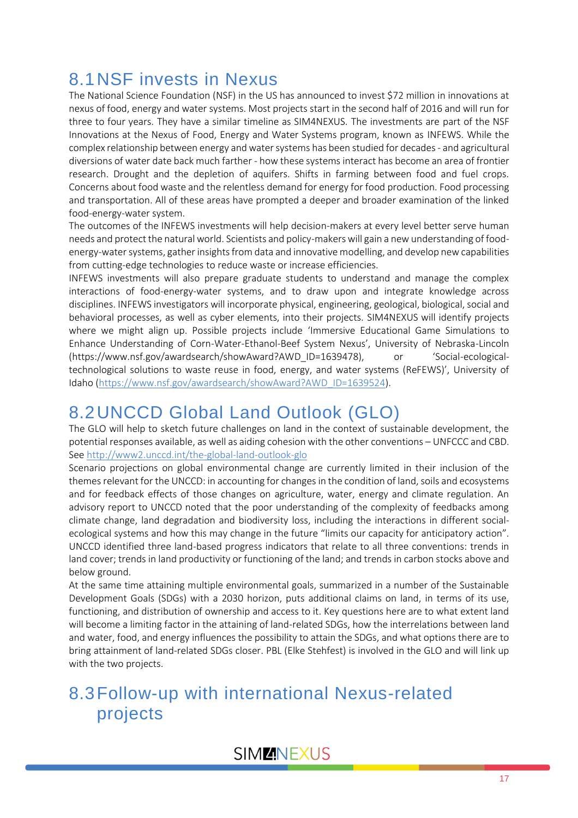## <span id="page-16-0"></span>8.1NSF invests in Nexus

The National Science Foundation (NSF) in the US has announced to invest \$72 million in innovations at nexus of food, energy and water systems. Most projects start in the second half of 2016 and will run for three to four years. They have a similar timeline as SIM4NEXUS. The investments are part of the NSF Innovations at the Nexus of Food, Energy and Water Systems program, known as [INFEWS.](https://www.nsf.gov/funding/pgm_summ.jsp?pims_id=505241) While the complex relationship between energy and water systems has been studied for decades - and agricultural diversions of water date back much farther - how these systems interact has become an area of frontier research. Drought and the depletion of aquifers. Shifts in farming between food and fuel crops. Concerns about food waste and the relentless demand for energy for food production. Food processing and transportation. All of these areas have prompted a deeper and broader examination of the linked food-energy-water system.

The outcomes of the INFEWS investments will help decision-makers at every level better serve human needs and protect the natural world. Scientists and policy-makers will gain a new understanding of foodenergy-water systems, gather insights from data and innovative modelling, and develop new capabilities from cutting-edge technologies to reduce waste or increase efficiencies.

INFEWS investments will also prepare graduate students to understand and manage the complex interactions of food-energy-water systems, and to draw upon and integrate knowledge across disciplines. INFEWS investigators will incorporate physical, engineering, geological, biological, social and behavioral processes, as well as cyber elements, into their projects. SIM4NEXUS will identify projects where we might align up. Possible projects include 'Immersive Educational Game Simulations to Enhance Understanding of Corn-Water-Ethanol-Beef System Nexus', University of Nebraska-Lincoln (https://www.nsf.gov/awardsearch/showAward?AWD\_ID=1639478), or 'Social-ecologicaltechnological solutions to waste reuse in food, energy, and water systems (ReFEWS)', University of Idaho [\(https://www.nsf.gov/awardsearch/showAward?AWD\\_ID=1639524\)](https://www.nsf.gov/awardsearch/showAward?AWD_ID=1639524).

## <span id="page-16-1"></span>8.2UNCCD Global Land Outlook (GLO)

The GLO will help to sketch future challenges on land in the context of sustainable development, the potential responses available, as well as aiding cohesion with the other conventions – UNFCCC and CBD. See<http://www2.unccd.int/the-global-land-outlook-glo>

Scenario projections on global environmental change are currently limited in their inclusion of the themes relevant for the UNCCD: in accounting for changes in the condition of land, soils and ecosystems and for feedback effects of those changes on agriculture, water, energy and climate regulation. An advisory report to UNCCD noted that the poor understanding of the complexity of feedbacks among climate change, land degradation and biodiversity loss, including the interactions in different socialecological systems and how this may change in the future "limits our capacity for anticipatory action". UNCCD identified three land-based progress indicators that relate to all three conventions: trends in land cover; trends in land productivity or functioning of the land; and trends in carbon stocks above and below ground.

At the same time attaining multiple environmental goals, summarized in a number of the Sustainable Development Goals (SDGs) with a 2030 horizon, puts additional claims on land, in terms of its use, functioning, and distribution of ownership and access to it. Key questions here are to what extent land will become a limiting factor in the attaining of land-related SDGs, how the interrelations between land and water, food, and energy influences the possibility to attain the SDGs, and what options there are to bring attainment of land-related SDGs closer. PBL (Elke Stehfest) is involved in the GLO and will link up with the two projects.

## <span id="page-16-2"></span>8.3Follow-up with international Nexus-related projects